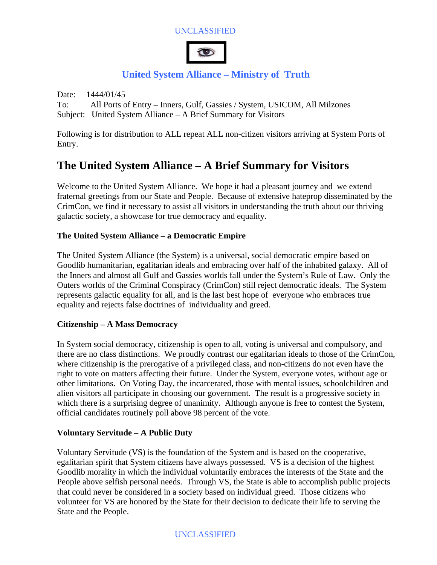### UNCLASSIFIED



# **United System Alliance – Ministry of Truth**

Date: 1444/01/45 To: All Ports of Entry – Inners, Gulf, Gassies / System, USICOM, All Milzones Subject: United System Alliance – A Brief Summary for Visitors

Following is for distribution to ALL repeat ALL non-citizen visitors arriving at System Ports of Entry.

# **The United System Alliance – A Brief Summary for Visitors**

Welcome to the United System Alliance. We hope it had a pleasant journey and we extend fraternal greetings from our State and People. Because of extensive hateprop disseminated by the CrimCon, we find it necessary to assist all visitors in understanding the truth about our thriving galactic society, a showcase for true democracy and equality.

## **The United System Alliance – a Democratic Empire**

The United System Alliance (the System) is a universal, social democratic empire based on Goodlib humanitarian, egalitarian ideals and embracing over half of the inhabited galaxy. All of the Inners and almost all Gulf and Gassies worlds fall under the System's Rule of Law. Only the Outers worlds of the Criminal Conspiracy (CrimCon) still reject democratic ideals. The System represents galactic equality for all, and is the last best hope of everyone who embraces true equality and rejects false doctrines of individuality and greed.

#### **Citizenship – A Mass Democracy**

In System social democracy, citizenship is open to all, voting is universal and compulsory, and there are no class distinctions. We proudly contrast our egalitarian ideals to those of the CrimCon, where citizenship is the prerogative of a privileged class, and non-citizens do not even have the right to vote on matters affecting their future. Under the System, everyone votes, without age or other limitations. On Voting Day, the incarcerated, those with mental issues, schoolchildren and alien visitors all participate in choosing our government. The result is a progressive society in which there is a surprising degree of unanimity. Although anyone is free to contest the System, official candidates routinely poll above 98 percent of the vote.

#### **Voluntary Servitude – A Public Duty**

Voluntary Servitude (VS) is the foundation of the System and is based on the cooperative, egalitarian spirit that System citizens have always possessed. VS is a decision of the highest Goodlib morality in which the individual voluntarily embraces the interests of the State and the People above selfish personal needs. Through VS, the State is able to accomplish public projects that could never be considered in a society based on individual greed. Those citizens who volunteer for VS are honored by the State for their decision to dedicate their life to serving the State and the People.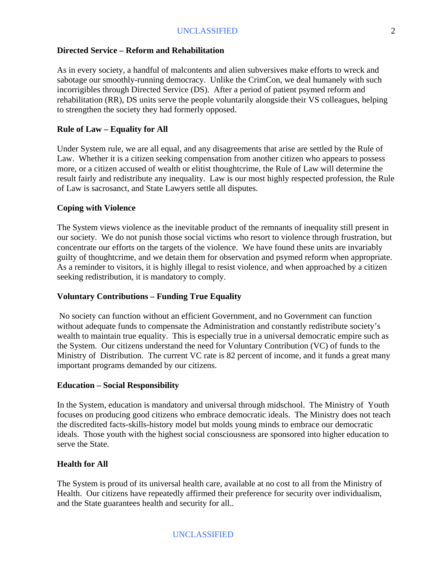#### **Directed Service – Reform and Rehabilitation**

As in every society, a handful of malcontents and alien subversives make efforts to wreck and sabotage our smoothly-running democracy. Unlike the CrimCon, we deal humanely with such incorrigibles through Directed Service (DS). After a period of patient psymed reform and rehabilitation (RR), DS units serve the people voluntarily alongside their VS colleagues, helping to strengthen the society they had formerly opposed.

#### **Rule of Law – Equality for All**

Under System rule, we are all equal, and any disagreements that arise are settled by the Rule of Law. Whether it is a citizen seeking compensation from another citizen who appears to possess more, or a citizen accused of wealth or elitist thoughtcrime, the Rule of Law will determine the result fairly and redistribute any inequality. Law is our most highly respected profession, the Rule of Law is sacrosanct, and State Lawyers settle all disputes.

#### **Coping with Violence**

The System views violence as the inevitable product of the remnants of inequality still present in our society. We do not punish those social victims who resort to violence through frustration, but concentrate our efforts on the targets of the violence. We have found these units are invariably guilty of thoughtcrime, and we detain them for observation and psymed reform when appropriate. As a reminder to visitors, it is highly illegal to resist violence, and when approached by a citizen seeking redistribution, it is mandatory to comply.

#### **Voluntary Contributions – Funding True Equality**

 No society can function without an efficient Government, and no Government can function without adequate funds to compensate the Administration and constantly redistribute society's wealth to maintain true equality. This is especially true in a universal democratic empire such as the System. Our citizens understand the need for Voluntary Contribution (VC) of funds to the Ministry of Distribution. The current VC rate is 82 percent of income, and it funds a great many important programs demanded by our citizens.

#### **Education – Social Responsibility**

In the System, education is mandatory and universal through midschool. The Ministry of Youth focuses on producing good citizens who embrace democratic ideals. The Ministry does not teach the discredited facts-skills-history model but molds young minds to embrace our democratic ideals. Those youth with the highest social consciousness are sponsored into higher education to serve the State.

#### **Health for All**

The System is proud of its universal health care, available at no cost to all from the Ministry of Health. Our citizens have repeatedly affirmed their preference for security over individualism, and the State guarantees health and security for all..

#### UNCLASSIFIED